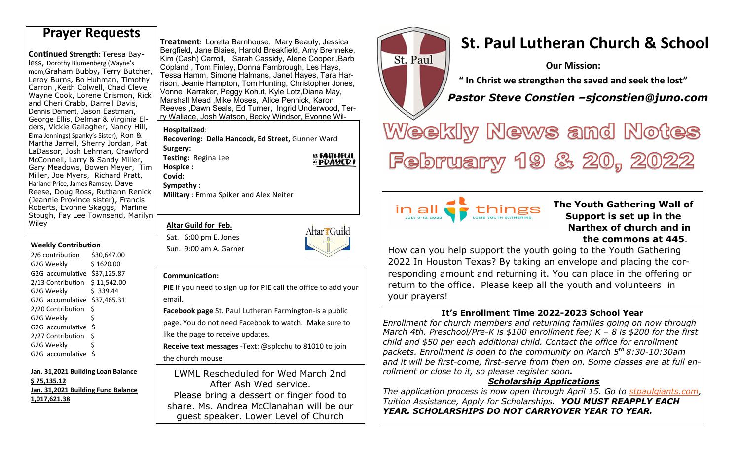**Continued Strength: Teresa Bay**less, Dorothy Blumenberg (Wayne's<br>mom,Graham Bubby, Terry Butcher,<br>Leroy Burns, Bo Huhman, Timothy<br>Carron ,Keith Colwell, Chad Cleve,<br>Wayne Cook, Lorene Crismon, Rick<br>and Cheri Crabb, Darrell Davis, Dennis Dement, Jason Eastman, George Ellis, Delmar & Virginia Elders, Vickie Gallagher, Nancy Hill, Elma Jennings( Spanky's Sister), Ron & Martha Jarrell, Sherry Jordan, Pat LaDassor, Josh Lehman, Crawford McConnell, Larry & Sandy Miller, Gary Meadows, Bowen Meyer, Tim Miller, Joe Myers, Richard Pratt, Harland Price, James Ramsey, Dave Reese, Doug Ross, Ruthann Renick (Jeannie Province sister), Francis Roberts, Evonne Skaggs, Marline Stough, Fay Lee Townsend, Marilyn Wiley

#### **Weekly Contribution**

| 2/6 contribution  | \$30,647.00 |
|-------------------|-------------|
| G2G Weekly        | \$1620.00   |
| G2G accumulative  | \$37,125.87 |
| 2/13 Contribution | \$11,542.00 |
| G2G Weekly        | \$ 339.44   |
| G2G accumulative  | \$37,465.31 |
| 2/20 Contribution | Ś           |
| G2G Weekly        | Ś           |
| G2G accumulative  | Ś           |
| 2/27 Contribution | \$          |
| G2G Weekly        | Ś           |
| G2G accumulative  | \$          |

**Jan. 31,2021 Building Loan Balance \$ 75,135.12 Jan. 31,2021 Building Fund Balance 1,017,621.38**

#### **Treatment:** Loretta Barnhouse, Mary Beauty, Jessica Bergfield, Jane Blaies, Harold Breakfield, Amy Brenneke, Kim (Cash) Carroll, Sarah Cassidy, Alene Cooper ,Barb Copland , Tom Finley, Donna Fambrough, Les Hays, Tessa Hamm, Simone Halmans, Janet Hayes, Tara Harrison, Jeanie Hampton, Tom Hunting, Christopher Jones, Vonne Karraker, Peggy Kohut, Kyle Lotz,Diana May, Marshall Mead ,Mike Moses, Alice Pennick, Karon Reeves ,Dawn Seals, Ed Turner, Ingrid Underwood, Terry Wallace, Josh Watson, Becky Windsor, Evonne Wil-

#### **Hospitalized**:

**Hospice : Covid:** 

 **Recovering: Della Hancock, Ed Street,** Gunner Ward **Surgery: EL FAITHFUL Testing: Regina Lee** 

*EPRAYERI* 

#### **Sympathy : Military** : Emma Spiker and Alex Neiter

**Altar Guild for Feb.** 

Sat. 6:00 pm E. Jones Sun. 9:00 am A. Garner



St. Paul

in all **a** 

#### **Communication:**

**PIE** if you need to sign up for PIE call the office to add your email.

**Facebook page** St. Paul Lutheran Farmington-is a public page. You do not need Facebook to watch. Make sure to like the page to receive updates.

**Receive text messages** -Text: @splcchu to 81010 to join the church mouse

LWML Rescheduled for Wed March 2nd After Ash Wed service. Please bring a dessert or finger food to share. Ms. Andrea McClanahan will be our guest speaker. Lower Level of Church



**Our Mission:** 

**" In Christ we strengthen the saved and seek the lost"** 

 *Pastor Steve Constien –sjconstien@juno.com*

Weekly News and Notes February 19 & 20, 2022

## **The Youth Gathering Wall of Support is set up in the Narthex of church and in the commons at 445**.

How can you help support the youth going to the Youth Gathering 2022 In Houston Texas? By taking an envelope and placing the corresponding amount and returning it. You can place in the offering or return to the office. Please keep all the youth and volunteers in your prayers!

things

# **It's Enrollment Time 2022-2023 School Year**

 *Enrollment for church members and returning families going on now through March 4th. Preschool/Pre-K is \$100 enrollment fee; K – 8 is \$200 for the first child and \$50 per each additional child. Contact the office for enrollment packets. Enrollment is open to the community on March 5th 8:30-10:30am and it will be first-come, first-serve from then on. Some classes are at full enrollment or close to it, so please register soon.*

# *Scholarship Applications*

 *The application process is now open through April 15. Go to stpaulgiants.com, Tuition Assistance, Apply for Scholarships. YOU MUST REAPPLY EACH YEAR. SCHOLARSHIPS DO NOT CARRYOVER YEAR TO YEAR.*